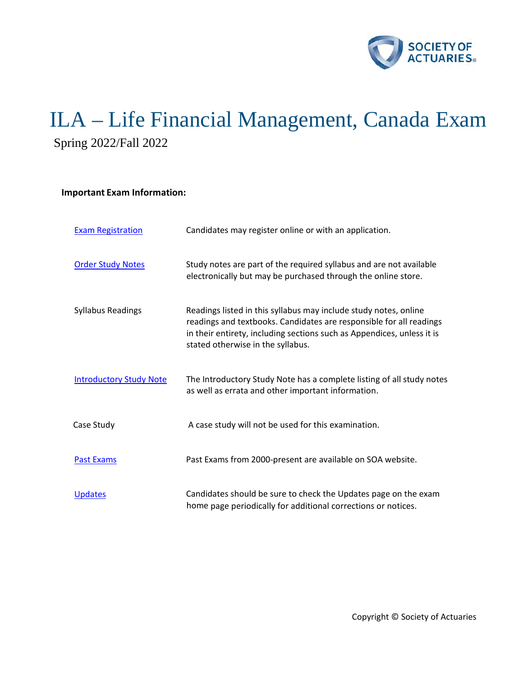

# ILA – Life Financial Management, Canada Exam Spring 2022/Fall 2022

# **Important Exam Information:**

| <b>Exam Registration</b>       | Candidates may register online or with an application.                                                                                                                                                                                                 |
|--------------------------------|--------------------------------------------------------------------------------------------------------------------------------------------------------------------------------------------------------------------------------------------------------|
| <b>Order Study Notes</b>       | Study notes are part of the required syllabus and are not available<br>electronically but may be purchased through the online store.                                                                                                                   |
| <b>Syllabus Readings</b>       | Readings listed in this syllabus may include study notes, online<br>readings and textbooks. Candidates are responsible for all readings<br>in their entirety, including sections such as Appendices, unless it is<br>stated otherwise in the syllabus. |
| <b>Introductory Study Note</b> | The Introductory Study Note has a complete listing of all study notes<br>as well as errata and other important information.                                                                                                                            |
| Case Study                     | A case study will not be used for this examination.                                                                                                                                                                                                    |
| <b>Past Exams</b>              | Past Exams from 2000-present are available on SOA website.                                                                                                                                                                                             |
| <b>Updates</b>                 | Candidates should be sure to check the Updates page on the exam<br>home page periodically for additional corrections or notices.                                                                                                                       |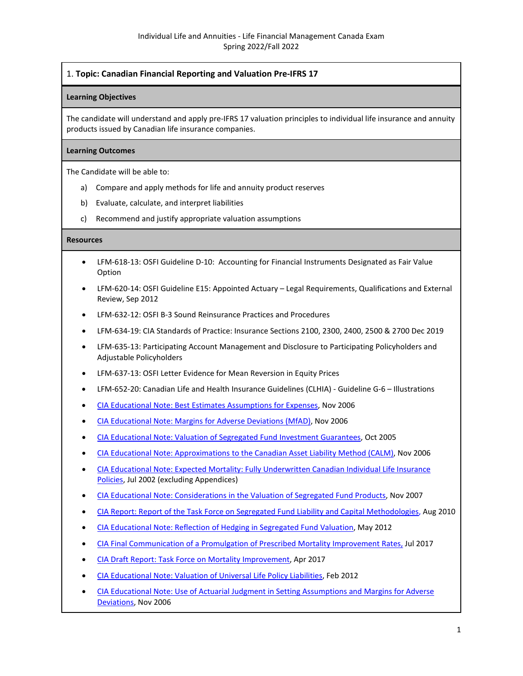## 1. **Topic: Canadian Financial Reporting and Valuation Pre-IFRS 17**

## **Learning Objectives**

The candidate will understand and apply pre-IFRS 17 valuation principles to individual life insurance and annuity products issued by Canadian life insurance companies.

## **Learning Outcomes**

The Candidate will be able to:

- a) Compare and apply methods for life and annuity product reserves
- b) Evaluate, calculate, and interpret liabilities
- c) Recommend and justify appropriate valuation assumptions

- LFM-618-13: OSFI Guideline D-10: Accounting for Financial Instruments Designated as Fair Value Option
- LFM-620-14: OSFI Guideline E15: Appointed Actuary Legal Requirements, Qualifications and External Review, Sep 2012
- LFM-632-12: OSFI B-3 Sound Reinsurance Practices and Procedures
- LFM-634-19: CIA Standards of Practice: Insurance Sections 2100, 2300, 2400, 2500 & 2700 Dec 2019
- LFM-635-13: Participating Account Management and Disclosure to Participating Policyholders and Adjustable Policyholders
- LFM-637-13: OSFI Letter Evidence for Mean Reversion in Equity Prices
- LFM-652-20: Canadian Life and Health Insurance Guidelines (CLHIA) Guideline G-6 Illustrations
- [CIA Educational Note: Best Estimates Assumptions for Expenses,](http://www.cia-ica.ca/docs/default-source/2006/206134e.pdf) Nov 2006
- [CIA Educational Note: Margins for Adverse Deviations \(MfAD\),](http://www.cia-ica.ca/docs/default-source/2006/206132e.pdf) Nov 2006
- [CIA Educational Note: Valuation of Segregated Fund Investment Guarantees,](http://www.cia-ica.ca/docs/default-source/2005/205111e.pdf) Oct 2005
- [CIA Educational Note: Approximations to the Canadian Asset Liability Method \(CALM\),](http://www.cia-ica.ca/docs/default-source/2006/206133e.pdf) Nov 2006
- [CIA Educational Note: Expected Mortality: Fully Underwritten Canadian Individual Life Insurance](http://www.cia-ica.ca/docs/default-source/2002/202037e.pdf)  [Policies,](http://www.cia-ica.ca/docs/default-source/2002/202037e.pdf) Jul 2002 (excluding Appendices)
- [CIA Educational Note: Considerations in the Valuation of Segregated Fund Products,](https://www.cia-ica.ca/docs/default-source/2007/207109e.pdf) Nov 2007
- [CIA Report: Report of the Task Force on Segregated Fund Liability and Capital Methodologies,](http://www.cia-ica.ca/docs/default-source/2010/210053e.pdf) Aug 2010
- [CIA Educational Note: Reflection of Hedging in Segregated Fund Valuation,](http://www.cia-ica.ca/docs/default-source/2012/212027e.pdf) May 2012
- [CIA Final Communication of a Promulgation of Prescribed Mortality Improvement Rates,](https://www.cia-ica.ca/docs/default-source/2017/217079e.pdf) Jul 2017
- [CIA Draft Report: Task Force on Mortality Improvement,](http://www.cia-ica.ca/docs/default-source/2017/217044e.pdf?sfvrsn=10) Apr 2017
- [CIA Educational Note: Valuation of Universal Life Policy Liabilities,](http://www.cia-ica.ca/docs/default-source/2012/212012e.pdf) Feb 2012
- CIA Educational Note: Use of [Actuarial Judgment in Setting Assumptions and Margins for Adverse](http://www.cia-ica.ca/docs/default-source/2006/206147e.pdf)  [Deviations,](http://www.cia-ica.ca/docs/default-source/2006/206147e.pdf) Nov 2006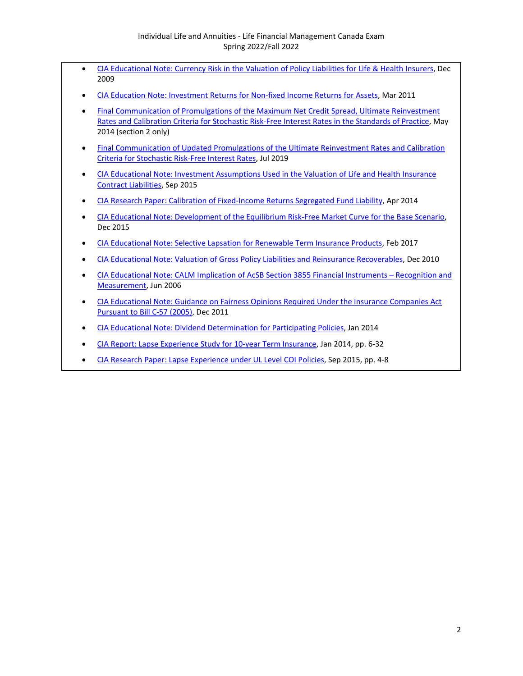- [CIA Educational Note: Currency Risk in the Valuation of Policy Liabilities for Life & Health Insurers,](http://www.cia-ica.ca/docs/default-source/2009/209121e.pdf?sfvrsn=2) Dec 2009
- [CIA Education Note: Investment Returns for Non-fixed Income Returns for Assets,](http://www.cia-ica.ca/docs/default-source/2011/211027e.pdf) Mar 2011
- [Final Communication of Promulgations of the Maximum Net Credit Spread, Ultimate Reinvestment](http://www.cia-ica.ca/docs/default-source/2014/214046e.pdf)  [Rates and Calibration Criteria for Stochastic Risk-Free Interest Rates in the Standards of Practice,](http://www.cia-ica.ca/docs/default-source/2014/214046e.pdf) May 2014 (section 2 only)
- [Final Communication of Updated Promulgations of the Ultimate Reinvestment Rates and Calibration](https://www.cia-ica.ca/docs/default-source/2019/219078e.pdf)  [Criteria for Stochastic Risk-Free Interest Rates,](https://www.cia-ica.ca/docs/default-source/2019/219078e.pdf) Jul 2019
- [CIA Educational Note: Investment Assumptions Used in the Valuation of Life and Health Insurance](http://www.cia-ica.ca/docs/default-source/2015/215072e.pdf)  [Contract Liabilities,](http://www.cia-ica.ca/docs/default-source/2015/215072e.pdf) Sep 2015
- CIA Research Paper: Calibration [of Fixed-Income Returns Segregated Fund Liability,](http://www.cia-ica.ca/docs/default-source/2014/214034e.pdf?sfvrsn=0) Apr 2014
- [CIA Educational Note: Development of the Equilibrium Risk-Free Market Curve for the Base Scenario,](https://www.cia-ica.ca/docs/default-source/2015/215111e.pdf) Dec 2015
- [CIA Educational Note: Selective Lapsation for Renewable Term Insurance Products,](http://www.cia-ica.ca/docs/default-source/2017/217019e.pdf) Feb 2017
- [CIA Educational Note: Valuation of Gross Policy Liabilities and Reinsurance Recoverables,](https://www.cia-ica.ca/docs/default-source/2010/210086e.pdf) Dec 2010
- [CIA Educational Note: CALM Implication of AcSB Section 3855 Financial Instruments Recognition and](http://www.cia-ica.ca/docs/default-source/2006/206077e.pdf) [Measurement,](http://www.cia-ica.ca/docs/default-source/2006/206077e.pdf) Jun 2006
- [CIA Educational Note: Guidance on Fairness Opinions Required Under the Insurance Companies Act](https://www.cia-ica.ca/docs/default-source/2011/211123e.pdf)  [Pursuant to Bill C-57 \(2005\),](https://www.cia-ica.ca/docs/default-source/2011/211123e.pdf) Dec 2011
- [CIA Educational Note: Dividend Determination for Participating Policies,](https://www.cia-ica.ca/docs/default-source/2014/214008e.pdf) Jan 2014
- [CIA Report: Lapse Experience Study for 10-year Term Insurance,](https://www.cia-ica.ca/docs/default-source/2014/214011e.pdf) Jan 2014, pp. 6-32
- [CIA Research Paper: Lapse Experience under UL Level COI Policies,](https://www.cia-ica.ca/docs/default-source/2015/215076e.pdf) Sep 2015, pp. 4-8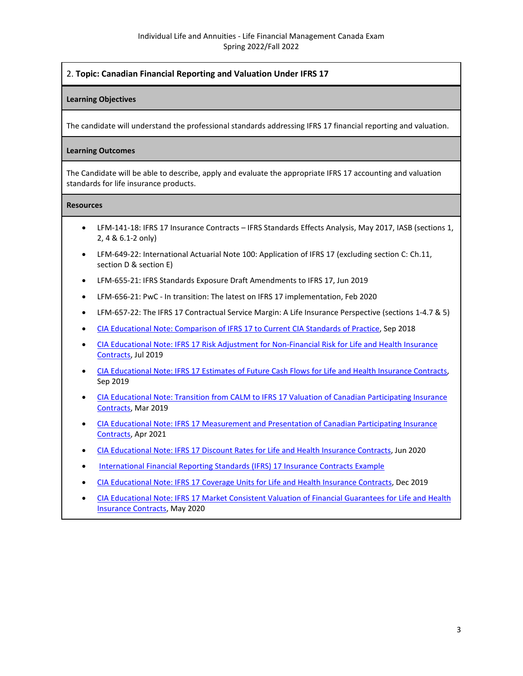# 2. **Topic: Canadian Financial Reporting and Valuation Under IFRS 17**

## **Learning Objectives**

The candidate will understand the professional standards addressing IFRS 17 financial reporting and valuation.

## **Learning Outcomes**

The Candidate will be able to describe, apply and evaluate the appropriate IFRS 17 accounting and valuation standards for life insurance products.

- LFM-141-18: IFRS 17 Insurance Contracts IFRS Standards Effects Analysis, May 2017, IASB (sections 1, 2, 4 & 6.1-2 only)
- LFM-649-22: International Actuarial Note 100: Application of IFRS 17 (excluding section C: Ch.11, section D & section E)
- LFM-655-21: IFRS Standards Exposure Draft Amendments to IFRS 17, Jun 2019
- LFM-656-21: PwC In transition: The latest on IFRS 17 implementation, Feb 2020
- LFM-657-22: The IFRS 17 Contractual Service Margin: A Life Insurance Perspective (sections 1-4.7 & 5)
- [CIA Educational Note: Comparison of IFRS 17 to Current CIA Standards of Practice,](https://www.cia-ica.ca/docs/default-source/2018/218117e.pdf) Sep 2018
- CIA Educational Note: IFRS 17 Risk Adjustment [for Non-Financial Risk for Life and Health Insurance](https://www.cia-ica.ca/docs/default-source/2019/219081e.pdf)  [Contracts,](https://www.cia-ica.ca/docs/default-source/2019/219081e.pdf) Jul 2019
- [CIA Educational Note: IFRS 17 Estimates of Future Cash Flows](https://www.cia-ica.ca/docs/default-source/2019/219102e.pdf) for Life and Health Insurance Contracts, Sep 2019
- [CIA Educational Note: Transition from CALM to IFRS 17 Valuation of Canadian Participating Insurance](https://www.cia-ica.ca/docs/default-source/2019/219036e.pdf)  [Contracts,](https://www.cia-ica.ca/docs/default-source/2019/219036e.pdf) Mar 2019
- [CIA Educational Note: IFRS 17 Measurement and Presentation of Canadian Participating Insurance](https://www.cia-ica.ca/docs/default-source/2021/221039e.pdf)  [Contracts,](https://www.cia-ica.ca/docs/default-source/2021/221039e.pdf) Apr 2021
- [CIA Educational Note: IFRS 17 Discount Rates for Life and Health Insurance Contracts,](https://www.cia-ica.ca/docs/default-source/2020/220079e.pdf) Jun 2020
- [International Financial Reporting Standards \(IFRS\) 17 Insurance Contracts Example](https://www.soa.org/globalassets/assets/files/edu/2020/spring/intro-study-notes/frs-17-insurance--contracts-example.xlsx)
- [CIA Educational Note: IFRS 17 Coverage Units for Life and Health Insurance Contracts,](https://www.cia-ica.ca/docs/default-source/2019/219131e.pdf) Dec 2019
- [CIA Educational Note: IFRS 17 Market Consistent Valuation of Financial Guarantees for Life and Health](https://www.cia-ica.ca/docs/default-source/2020/220061e.pdf)  [Insurance Contracts,](https://www.cia-ica.ca/docs/default-source/2020/220061e.pdf) May 2020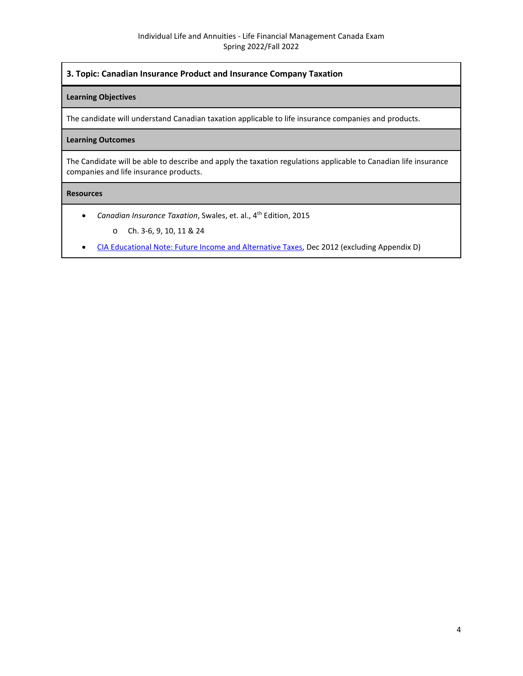## **3. Topic: Canadian Insurance Product and Insurance Company Taxation**

## **Learning Objectives**

The candidate will understand Canadian taxation applicable to life insurance companies and products.

## **Learning Outcomes**

The Candidate will be able to describe and apply the taxation regulations applicable to Canadian life insurance companies and life insurance products.

- *Canadian Insurance Taxation*, Swales, et. al., 4th Edition, 2015
	- o Ch. 3-6, 9, 10, 11 & 24
- [CIA Educational Note: Future Income and Alternative Taxes,](https://www.cia-ica.ca/docs/default-source/2012/212096e.pdf) Dec 2012 (excluding Appendix D)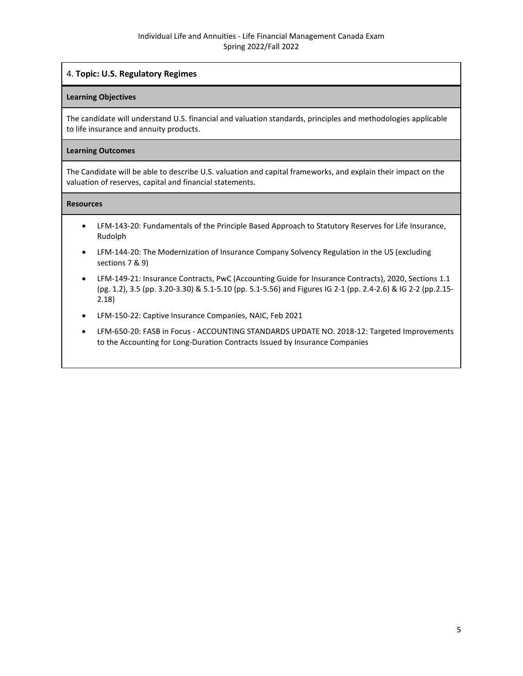# 4. **Topic: U.S. Regulatory Regimes**

## **Learning Objectives**

The candidate will understand U.S. financial and valuation standards, principles and methodologies applicable to life insurance and annuity products.

## **Learning Outcomes**

The Candidate will be able to describe U.S. valuation and capital frameworks, and explain their impact on the valuation of reserves, capital and financial statements.

- LFM-143-20: Fundamentals of the Principle Based Approach to Statutory Reserves for Life Insurance, Rudolph
- LFM-144-20: The Modernization of Insurance Company Solvency Regulation in the US (excluding sections 7 & 9)
- LFM-149-21: Insurance Contracts, PwC (Accounting Guide for Insurance Contracts), 2020, Sections 1.1 (pg. 1.2), 3.5 (pp. 3.20-3.30) & 5.1-5.10 (pp. 5.1-5.56) and Figures IG 2-1 (pp. 2.4-2.6) & IG 2-2 (pp.2.15- 2.18)
- LFM-150-22: Captive Insurance Companies, NAIC, Feb 2021
- LFM-650-20: FASB in Focus ACCOUNTING STANDARDS UPDATE NO. 2018-12: Targeted Improvements to the Accounting for Long-Duration Contracts Issued by Insurance Companies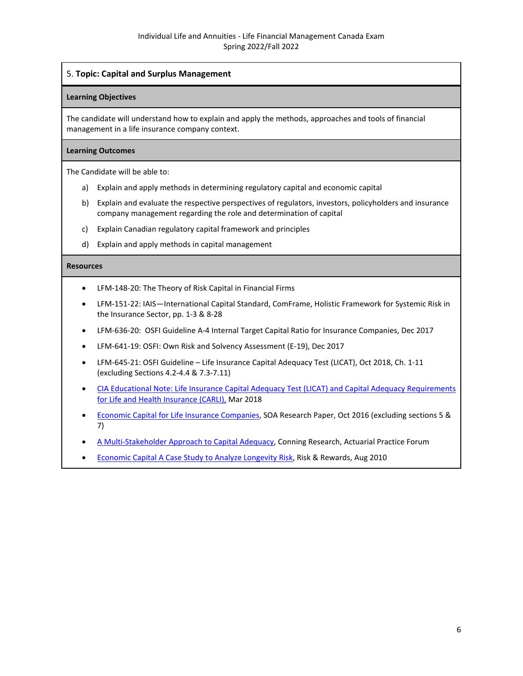## 5. **Topic: Capital and Surplus Management**

## **Learning Objectives**

The candidate will understand how to explain and apply the methods, approaches and tools of financial management in a life insurance company context.

## **Learning Outcomes**

The Candidate will be able to:

- a) Explain and apply methods in determining regulatory capital and economic capital
- b) Explain and evaluate the respective perspectives of regulators, investors, policyholders and insurance company management regarding the role and determination of capital
- c) Explain Canadian regulatory capital framework and principles
- d) Explain and apply methods in capital management

- LFM-148-20: The Theory of Risk Capital in Financial Firms
- LFM-151-22: IAIS—International Capital Standard, ComFrame, Holistic Framework for Systemic Risk in the Insurance Sector, pp. 1-3 & 8-28
- LFM-636-20: OSFI Guideline A-4 Internal Target Capital Ratio for Insurance Companies, Dec 2017
- LFM-641-19: OSFI: Own Risk and Solvency Assessment (E-19), Dec 2017
- LFM-645-21: OSFI Guideline Life Insurance Capital Adequacy Test (LICAT), Oct 2018, Ch. 1-11 (excluding Sections 4.2-4.4 & 7.3-7.11)
- [CIA Educational Note: Life Insurance Capital Adequacy Test \(LICAT\) and Capital Adequacy Requirements](https://www.cia-ica.ca/docs/default-source/2018/218033e.pdf)  [for Life and Health Insurance \(CARLI\),](https://www.cia-ica.ca/docs/default-source/2018/218033e.pdf) Mar 2018
- [Economic Capital for Life Insurance Companies,](https://www.soa.org/globalassets/assets/Files/Research/Projects/research-2016-economic-capital-life-insurance-report.pdf) SOA Research Paper, Oct 2016 (excluding sections 5 & 7)
- [A Multi-Stakeholder Approach to Capital Adequacy,](https://www.soa.org/globalassets/assets/library/journals/actuarial-practice-forum/2007/may/APF0705_01.pdf) Conning Research, Actuarial Practice Forum
- [Economic Capital A Case Study to Analyze Longevity Risk,](https://www.soa.org/globalassets/assets/library/newsletters/risks-and-rewards/2010/august/rar-2010-iss56-silverman.pdf) Risk & Rewards, Aug 2010